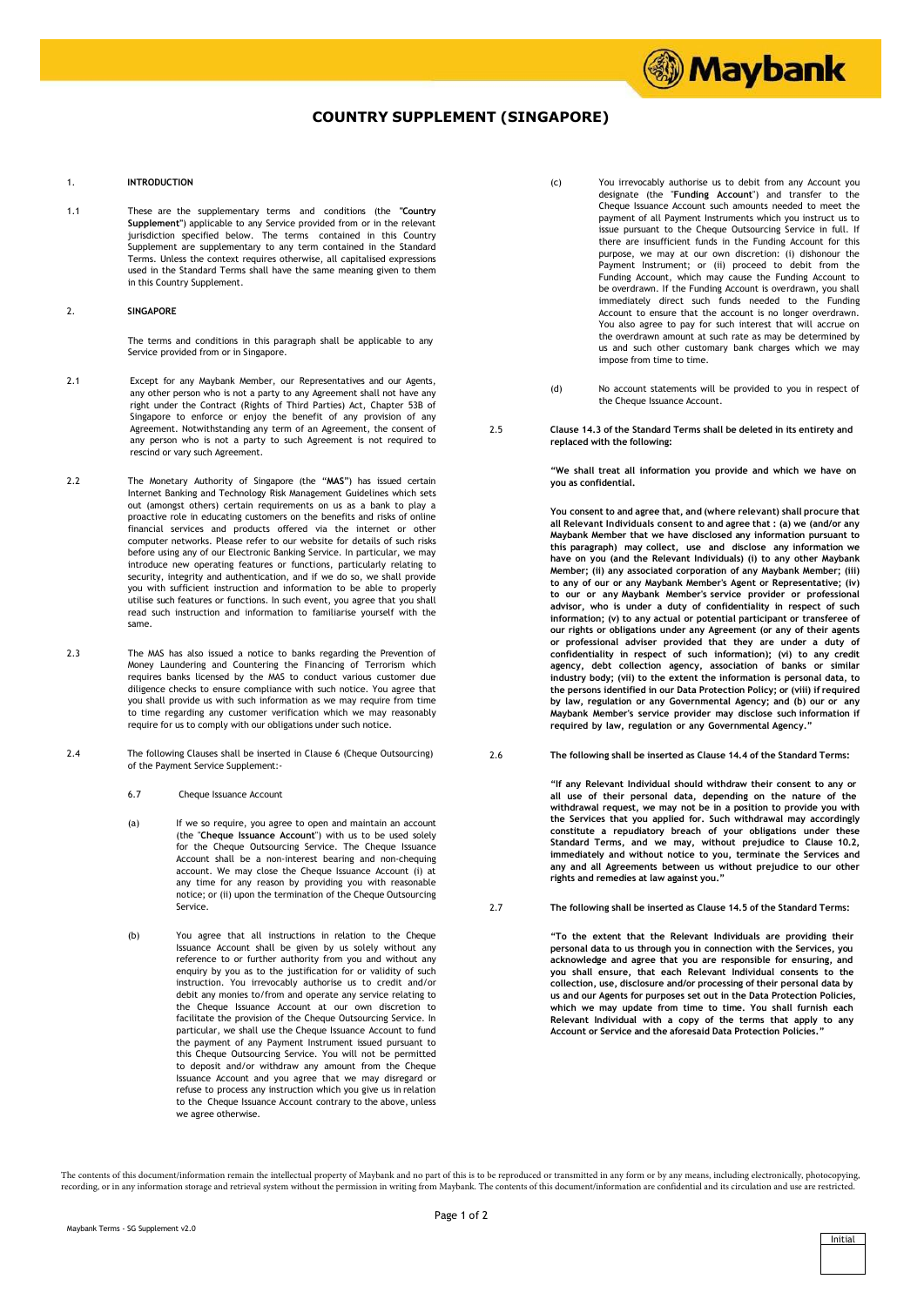## **COUNTRY SUPPLEMENT (SINGAPORE)**

## 1. **INTRODUCTION**

1.1 These are the supplementary terms and conditions (the **"Country Supplement"**) applicable to any Service provided from or in the relevant jurisdiction specified below. The terms contained in this Country Supplement are supplementary to any term contained in the Standard Terms. Unless the context requires otherwise, all capitalised expressions used in the Standard Terms shall have the same meaning given to them in this Country Supplement.

## 2. **SINGAPORE**

The terms and conditions in this paragraph shall be applicable to any Service provided from or in Singapore.

- 2.1 Except for any Maybank Member, our Representatives and our Agents, any other person who is not a party to any Agreement shall not have any right under the Contract (Rights of Third Parties) Act, Chapter 53B of Singapore to enforce or enjoy the benefit of any provision of any Agreement. Notwithstanding any term of an Agreement, the consent of any person who is not a party to such Agreement is not required to rescind or vary such Agreement.
- 2.2 The Monetary Authority of Singapore (the "**MAS**") has issued certain Internet Banking and Technology Risk Management Guidelines which sets out (amongst others) certain requirements on us as a bank to play a proactive role in educating customers on the benefits and risks of online financial services and products offered via the internet or other computer networks. Please refer to our website for details of such risks before using any of our Electronic Banking Service. In particular, we may introduce new operating features or functions, particularly relating to security, integrity and authentication, and if we do so, we shall provide you with sufficient instruction and information to be able to properly utilise such features or functions. In such event, you agree that you shall read such instruction and information to familiarise yourself with the same.
- 2.3 The MAS has also issued a notice to banks regarding the Prevention of Money Laundering and Countering the Financing of Terrorism which requires banks licensed by the MAS to conduct various customer due diligence checks to ensure compliance with such notice. You agree that you shall provide us with such information as we may require from time to time regarding any customer verification which we may reasonably require for us to comply with our obligations under such notice.
- 2.4 The following Clauses shall be inserted in Clause 6 (Cheque Outsourcing) of the Payment Service Supplement:-
	- 6.7 Cheque Issuance Account
	- (a) If we so require, you agree to open and maintain an account (the "**Cheque Issuance Account**") with us to be used solely for the Cheque Outsourcing Service. The Cheque Issuance Account shall be a non-interest bearing and non-chequing account. We may close the Cheque Issuance Account (i) at any time for any reason by providing you with reasonable notice; or (ii) upon the termination of the Cheque Outsourcing Service.
	- (b) You agree that all instructions in relation to the Cheque Issuance Account shall be given by us solely without any reference to or further authority from you and without any enquiry by you as to the justification for or validity of such instruction. You irrevocably authorise us to credit and/or debit any monies to/from and operate any service relating to the Cheque Issuance Account at our own discretion to facilitate the provision of the Cheque Outsourcing Service. In particular, we shall use the Cheque Issuance Account to fund the payment of any Payment Instrument issued pursuant to this Cheque Outsourcing Service. You will not be permitted to deposit and/or withdraw any amount from the Cheque Issuance Account and you agree that we may disregard or refuse to process any instruction which you give us in relation to the Cheque Issuance Account contrary to the above, unless we agree otherwise.

(c) You irrevocably authorise us to debit from any Account you designate (the "**Funding Account**") and transfer to the Cheque Issuance Account such amounts needed to meet the payment of all Payment Instruments which you instruct us to issue pursuant to the Cheque Outsourcing Service in full. If there are insufficient funds in the Funding Account for this purpose, we may at our own discretion: (i) dishonour the Payment Instrument; or (ii) proceed to debit from the Funding Account, which may cause the Funding Account to be overdrawn. If the Funding Account is overdrawn, you shall immediately direct such funds needed to the Funding Account to ensure that the account is no longer overdrawn. You also agree to pay for such interest that will accrue on the overdrawn amount at such rate as may be determined by us and such other customary bank charges which we may impose from time to time.

**1999) Maybank** 

- (d) No account statements will be provided to you in respect of the Cheque Issuance Account.
- 2.5 **Clause 14.3 of the Standard Terms shall be deleted in its entirety and replaced with the following:**

**"We shall treat all information you provide and which we have on you as confidential.**

**You consent to and agree that, and (where relevant) shall procure that all Relevant Individuals consent to and agree that : (a) we (and/or any Maybank Member that we have disclosed any information pursuant to this paragraph) may collect, use and disclose any information we have on you (and the Relevant Individuals) (i) to any other Maybank Member; (ii) any associated corporation of any Maybank Member; (iii) to any of our or any Maybank Member's Agent or Representative; (iv) to our or any Maybank Member's service provider or professional advisor, who is under a duty of confidentiality in respect of such information; (v) to any actual or potential participant or transferee of our rights or obligations under any Agreement (or any of their agents or professional adviser provided that they are under a duty of confidentiality in respect of such information); (vi) to any credit agency, debt collection agency, association of banks or similar industry body; (vii) to the extent the information is personal data, to the persons identified in our Data Protection Policy; or (viii) if required by law, regulation or any Governmental Agency; and (b) our or any Maybank Member's service provider may disclose such information if required by law, regulation or any Governmental Agency."**

2.6 **The following shall be inserted as Clause 14.4 of the Standard Terms:**

**"If any Relevant Individual should withdraw their consent to any or all use of their personal data, depending on the nature of the withdrawal request, we may not be in a position to provide you with the Services that you applied for. Such withdrawal may accordingly constitute a repudiatory breach of your obligations under these Standard Terms, and we may, without prejudice to Clause 10.2,**  immediately and without notice to you, terminate the Services and<br>any and all Agreements between us without prejudice to our other **rights and remedies at law against you."**

2.7 **The following shall be inserted as Clause 14.5 of the Standard Terms:**

**"To the extent that the Relevant Individuals are providing their personal data to us through you in connection with the Services, you acknowledge and agree that you are responsible for ensuring, and you shall ensure, that each Relevant Individual consents to the collection, use, disclosure and/or processing of their personal data by us and our Agents for purposes set out in the Data Protection Policies, which we may update from time to time. You shall furnish each Relevant Individual with a copy of the terms that apply to any Account or Service and the aforesaid Data Protection Policies."**

The contents of this document/information remain the intellectual property of Maybank and no part of this is to be reproduced or transmitted in any form or by any means, including electronically, photocopying, recording, or in any information storage and retrieval system without the permission in writing from Maybank. The contents of this document/information are confidential and its circulation and use are restricted.